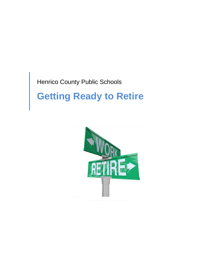# Henrico County Public Schools

# **Getting Ready to Retire**

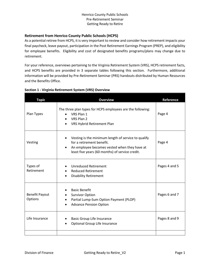#### **Retirement from Henrico County Public Schools (HCPS)**

As a potential retiree from HCPS, it is very important to review and consider how retirement impacts your final paycheck, leave payout, participation in the Post Retirement Earnings Program (PREP), and eligibility for employee benefits. Eligibility and cost of designated benefits programs/plans may change due to retirement.

For your reference, overviews pertaining to the Virginia Retirement System (VRS), HCPS retirement facts, and HCPS benefits are provided in 3 separate tables following this section. Furthermore, additional information will be provided by Pre-Retirement Seminar (PRS) handouts distributed by Human Resources and the Benefits Office.

|  | Section 1 - Virginia Retirement System (VRS) Overview |  |
|--|-------------------------------------------------------|--|
|--|-------------------------------------------------------|--|

| <b>Topic</b>                     | <b>Overview</b>                                                                                                                                                                     | Reference     |
|----------------------------------|-------------------------------------------------------------------------------------------------------------------------------------------------------------------------------------|---------------|
| Plan Types                       | The three plan types for HCPS employees are the following:<br>VRS Plan 1<br>VRS Plan 2<br>VRS Hybrid Retirement Plan                                                                | Page 4        |
| Vesting                          | Vesting is the minimum length of service to qualify<br>for a retirement benefit.<br>An employee becomes vested when they have at<br>least five years (60 months) of service credit. | Page 4        |
| Types of<br>Retirement           | <b>Unreduced Retirement</b><br><b>Reduced Retirement</b><br><b>Disability Retirement</b>                                                                                            | Pages 4 and 5 |
| <b>Benefit Payout</b><br>Options | <b>Basic Benefit</b><br><b>Survivor Option</b><br>Partial Lump-Sum Option Payment (PLOP)<br>$\bullet$<br><b>Advance Pension Option</b>                                              | Pages 6 and 7 |
| Life Insurance                   | <b>Basic Group Life Insurance</b><br>$\bullet$<br><b>Optional Group Life Insurance</b>                                                                                              | Pages 8 and 9 |
|                                  |                                                                                                                                                                                     |               |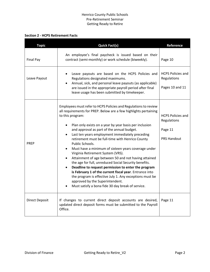#### **Section 2 - HCPS Retirement Facts**

| <b>Topic</b>          | <b>Quick Fact(s)</b>                                                                                                                                                                                                                                                                                                                                                                                                                                                                                                                                                                                                                                                                                                                                                                                                                                                        | Reference                                                                |
|-----------------------|-----------------------------------------------------------------------------------------------------------------------------------------------------------------------------------------------------------------------------------------------------------------------------------------------------------------------------------------------------------------------------------------------------------------------------------------------------------------------------------------------------------------------------------------------------------------------------------------------------------------------------------------------------------------------------------------------------------------------------------------------------------------------------------------------------------------------------------------------------------------------------|--------------------------------------------------------------------------|
| Final Pay             | An employee's final paycheck is issued based on their<br>contract (semi-monthly) or work schedule (biweekly).                                                                                                                                                                                                                                                                                                                                                                                                                                                                                                                                                                                                                                                                                                                                                               | Page 10                                                                  |
| Leave Payout          | Leave payouts are based on the HCPS Policies and<br>Regulations designated maximums.<br>Annual, sick, and personal leave payouts (as applicable)<br>are issued in the appropriate payroll period after final<br>leave usage has been submitted by timekeeper.                                                                                                                                                                                                                                                                                                                                                                                                                                                                                                                                                                                                               | <b>HCPS Policies and</b><br>Regulations<br>Pages 10 and 11               |
| <b>PREP</b>           | Employees must refer to HCPS Policies and Regulations to review<br>all requirements for PREP. Below are a few highlights pertaining<br>to this program:<br>Plan only exists on a year by year basis per inclusion<br>and approval as part of the annual budget.<br>Last ten years employment immediately preceding<br>retirement must be full-time with Henrico County<br>Public Schools.<br>Must have a minimum of sixteen years coverage under<br>Virginia Retirement System (VRS).<br>Attainment of age between 50 and not having attained<br>the age for full, unreduced Social Security benefits.<br>Deadline to request permission to enter the program<br>is February 1 of the current fiscal year. Entrance into<br>the program is effective July 1. Any exceptions must be<br>approved by the Superintendent.<br>Must satisfy a bona fide 30 day break of service. | <b>HCPS Policies and</b><br>Regulations<br>Page 11<br><b>PRS Handout</b> |
| <b>Direct Deposit</b> | If changes to current direct deposit accounts are desired,<br>updated direct deposit forms must be submitted to the Payroll<br>Office.                                                                                                                                                                                                                                                                                                                                                                                                                                                                                                                                                                                                                                                                                                                                      | Page 11                                                                  |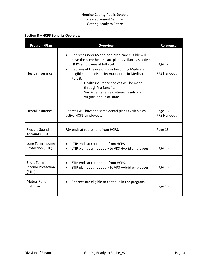#### **Section 3 – HCPS Benefits Overview**

| Program/Plan                                            | <b>Overview</b>                                                                                                                                                                                                                                                                                                                                                                                                              | Reference                     |
|---------------------------------------------------------|------------------------------------------------------------------------------------------------------------------------------------------------------------------------------------------------------------------------------------------------------------------------------------------------------------------------------------------------------------------------------------------------------------------------------|-------------------------------|
| <b>Health Insurance</b>                                 | Retirees under 65 and non-Medicare eligible will<br>have the same health care plans available as active<br>HCPS employees at full cost.<br>Retirees at the age of 65 or becoming Medicare<br>eligible due to disability must enroll in Medicare<br>Part B.<br>Health insurance choices will be made<br>$\Omega$<br>through Via Benefits.<br>Via Benefits serves retirees residing in<br>$\circ$<br>Virginia or out-of-state. | Page 12<br><b>PRS Handout</b> |
| Dental Insurance                                        | Retirees will have the same dental plans available as<br>active HCPS employees.                                                                                                                                                                                                                                                                                                                                              | Page 13<br><b>PRS Handout</b> |
| <b>Flexible Spend</b><br>Accounts (FSA)                 | FSA ends at retirement from HCPS.                                                                                                                                                                                                                                                                                                                                                                                            | Page 13                       |
| Long Term Income<br>Protection (LTIP)                   | LTIP ends at retirement from HCPS.<br>LTIP plan does not apply to VRS Hybrid employees.                                                                                                                                                                                                                                                                                                                                      | Page 13                       |
| <b>Short Term</b><br><b>Income Protection</b><br>(STIP) | STIP ends at retirement from HCPS.<br>STIP plan does not apply to VRS Hybrid employees.                                                                                                                                                                                                                                                                                                                                      | Page 13                       |
| <b>Mutual Fund</b><br>Platform                          | Retirees are eligible to continue in the program.                                                                                                                                                                                                                                                                                                                                                                            | Page 13                       |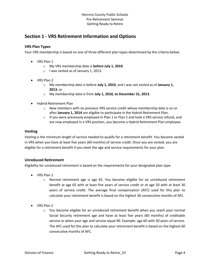# **Section 1 - VRS Retirement Information and Options**

#### **VRS Plan Types**

Your VRS membership is based on one of three different plan types determined by the criteria below:

- VRS Plan 1
	- o My VRS membership date is **before July 1, 2010**.
	- o I was vested as of January 1, 2013.
- VRS Plan 2
	- o My membership date is before **July 1, 2010**, and I was not *vested* as of **January 1, 2013**; or
	- o My membership date is from **July 1, 2010, to December 31, 2013.**
- Hybrid Retirement Plan
	- o New members with no previous VRS service credit whose membership date is on or after **January 1, 2014** are eligible to participate in the Hybrid Retirement Plan.
	- $\circ$  If you were previously employed in Plan 1 or Plan 2 and took a VRS service refund, and are now employed in a VRS position, you become a Hybrid Retirement Plan employee.

#### **Vesting**

Vesting is the minimum length of service needed to qualify for a retirement benefit. You become vested in VRS when you have at least five years (60 months) of service credit. Once you are vested, you are eligible for a retirement benefit if you meet the age and service requirements for your plan.

#### **Unreduced Retirement**

Eligibility for unreduced retirement is based on the requirements for your designated plan type.

- VRS Plan 1
	- o Normal retirement age is age 65. You become eligible for an unreduced retirement benefit at age 65 with at least five years of service credit or at age 50 with at least 30 years of service credit. The average final compensation (AFC) used for this plan to calculate your retirement benefit is based on the highest 36 consecutive months of AFC.
- VRS Plan 2
	- $\circ$  You become eligible for an unreduced retirement benefit when you reach your normal Social Security retirement age and have at least five years (60 months) of creditable service or when your age and service equal 90. Example: age 60 with 30 years of service. The AFC used for this plan to calculate your retirement benefit is based on the highest 60 consecutive months of AFC.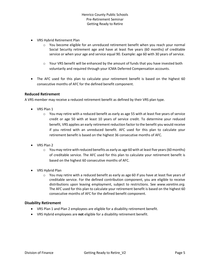- VRS Hybrid Retirement Plan
	- o You become eligible for an unreduced retirement benefit when you reach your normal Social Security retirement age and have at least five years (60 months) of creditable service or when your age and service equal 90. Example: age 60 with 30 years of service.
	- o Your VRS benefit will be enhanced by the amount of funds that you have invested both voluntarily and required through your ICMA Deferred Compensation accounts.
- The AFC used for this plan to calculate your retirement benefit is based on the highest 60 consecutive months of AFC for the defined benefit component.

#### **Reduced Retirement**

A VRS member may receive a reduced retirement benefit as defined by their VRS plan type.

- VRS Plan 1
	- $\circ$  You may retire with a reduced benefit as early as age 55 with at least five years of service credit or age 50 with at least 10 years of service credit. To determine your reduced benefit, VRS applies an early retirement reduction factor to the benefit you would receive if you retired with an unreduced benefit. AFC used for this plan to calculate your retirement benefit is based on the highest 36 consecutive months of AFC.
- VRS Plan 2
	- $\circ$  You may retire with reduced benefits as early as age 60 with at least five years (60 months) of creditable service. The AFC used for this plan to calculate your retirement benefit is based on the highest 60 consecutive months of AFC.
- VRS Hybrid Plan
	- $\circ$  You may retire with a reduced benefit as early as age 60 if you have at least five years of creditable service. For the defined contribution component, you are eligible to receive distributions upon leaving employment, subject to restrictions. See *www.varetire.org.* The AFC used for this plan to calculate your retirement benefit is based on the highest 60 consecutive months of AFC for the defined benefit component.

#### **Disability Retirement**

- VRS Plan 1 and Plan 2 employees are eligible for a disability retirement benefit.
- VRS Hybrid employees are **not** eligible for a disability retirement benefit.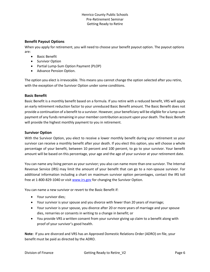#### **Benefit Payout Options**

When you apply for retirement, you will need to choose your benefit payout option. The payout options are:

- Basic Benefit
- Survivor Option
- Partial Lump-Sum Option Payment (PLOP)
- Advance Pension Option.

The option you elect is irrevocable. This means you cannot change the option selected after you retire, with the exception of the Survivor Option under some conditions.

#### **Basic Benefit**

Basic Benefit is a monthly benefit based on a formula. If you retire with a reduced benefit, VRS will apply an early retirement reduction factor to your unreduced Basic Benefit amount. The Basic Benefit does not provide a continuation of a benefit to a survivor. However, your beneficiary will be eligible for a lump-sum payment of any funds remaining in your member contribution account upon your death. The Basic Benefit will provide the highest monthly payment to you in retirement.

#### **Survivor Option**

With the Survivor Option, you elect to receive a lower monthly benefit during your retirement so your survivor can receive a monthly benefit after your death. If you elect this option, you will choose a whole percentage of your benefit, between 10 percent and 100 percent, to go to your survivor. Your benefit amount will be based on this percentage, your age and the age of your survivor at your retirement date.

You can name any living person as your survivor; you also can name more than one survivor. The Internal Revenue Service (IRS) may limit the amount of your benefit that can go to a non-spouse survivor. For additional information including a chart on maximum survivor option percentages, contact the IRS toll free at 1-800-829-1040 or visi[t www.irs.gov](http://www.irs.gov/) for changing the Survivor Option.

You can name a new survivor or revert to the Basic Benefit if:

- Your survivor dies;
- Your survivor is your spouse and you divorce with fewer than 20 years of marriage;
- Your survivor is your spouse, you divorce after 20 or more years of marriage and your spouse dies, remarries or consents in writing to a change in benefit; or
- You provide VRS a written consent from your survivor giving up claim to a benefit along with proof of your survivor's good health.

**Note:** If you are divorced and VRS has an Approved Domestic Relations Order (ADRO) on file, your benefit must be paid as directed by the ADRO.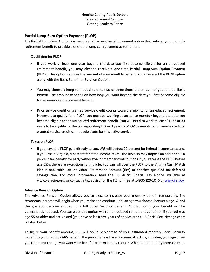#### **Partial Lump-Sum Option Payment (PLOP)**

The Partial Lump-Sum Option Payment is a retirement benefit payment option that reduces your monthly retirement benefit to provide a one-time lump-sum payment at retirement.

#### **Qualifying for PLOP**

- If you work at least one year beyond the date you first become eligible for an unreduced retirement benefit, you may elect to receive a one-time Partial Lump-Sum Option Payment (PLOP). This option reduces the amount of your monthly benefit. You may elect the PLOP option along with the Basic Benefit or Survivor Option.
- You may choose a lump sum equal to one, two or three times the amount of your annual Basic Benefit. The amount depends on how long you work beyond the date you first become eligible for an unreduced retirement benefit.
- Prior service credit or granted service credit counts toward eligibility for unreduced retirement. However, to qualify for a PLOP, you must be working as an active member beyond the date you become eligible for an unreduced retirement benefit. You will need to work at least 31, 32 or 33 years to be eligible for the corresponding 1, 2 or 3 years of PLOP payments. Prior service credit or granted service credit cannot substitute for this active service.

#### **Taxes on PLOP**

• If you have the PLOP paid directly to you, VRS will deduct 20 percent for federal income taxes and, if you live in Virginia, 4 percent for state income taxes. The IRS also may impose an additional 10 percent tax penalty for early withdrawal of member contributions if you receive the PLOP before age 59½; there are exceptions to this rule. You can roll over the PLOP to the Virginia Cash Match Plan if applicable, an Individual Retirement Account (IRA) or another qualified tax-deferred savings plan. For more information, read the IRS 402(f) Special Tax Notice available at www.varetire.org; or contact a tax advisor or the IRS toll free at 1-800-829-1040 o[r www.irs.gov](http://www.irs.gov/)

#### **Advance Pension Option**

The Advance Pension Option allows you to elect to increase your monthly benefit temporarily. The temporary increase will begin when you retire and continue until an age you choose, between age 62 and the age you become entitled to a full Social Security benefit. At that point, your benefit will be permanently reduced. You can elect this option with an unreduced retirement benefit or if you retire at age 55 or older and are vested (you have at least five years of service credit). A Social Security age chart is listed below.

To figure your benefit amount, VRS will add a percentage of your estimated monthly Social Security benefit to your monthly VRS benefit. The percentage is based on several factors, including your age when you retire and the age you want your benefit to permanently reduce. When the temporary increase ends,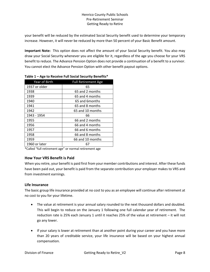your benefit will be reduced by the estimated Social Security benefit used to determine your temporary increase. However, it will never be reduced by more than 50 percent of your Basic Benefit amount.

**Important Note:** This option does not affect the amount of your Social Security benefit. You also may draw your Social Security whenever you are eligible for it, regardless of the age you choose for your VRS benefit to reduce. The Advance Pension Option does not provide a continuation of a benefit to a survivor. You cannot elect the Advance Pension Option with other benefit payout options.

| Year of Birth | <b>Full Retirement Age</b> |
|---------------|----------------------------|
| 1937 or older | 65                         |
| 1938          | 65 and 2 months            |
| 1939          | 65 and 4 months            |
| 1940          | 65 and 6months             |
| 1941          | 65 and 8 months            |
| 1942          | 65 and 10 months           |
| 1943 - 1954   | 66                         |
| 1955          | 66 and 2 months            |
| 1956          | 66 and 4 months            |
| 1957          | 66 and 6 months            |
| 1958          | 66 and 8 months            |
| 1959          | 66 and 10 months           |
| 1960 or later | 67                         |
|               |                            |

|  | Table 1 - Age to Receive Full Social Security Benefits* |  |
|--|---------------------------------------------------------|--|
|  |                                                         |  |

\*Called "full retirement age" or normal retirement age

#### **How Your VRS Benefit is Paid**

When you retire, your benefit is paid first from your member contributions and interest. After these funds have been paid out, your benefit is paid from the separate contribution your employer makes to VRS and from investment earnings.

#### **Life Insurance**

The basic group life insurance provided at no cost to you as an employee will continue after retirement at no cost to you for your lifetime.

- The value at retirement is your annual salary rounded to the next thousand dollars and doubled. This will begin to reduce on the January 1 following one full calendar year of retirement. The reduction rate is 25% each January 1 until it reaches 25% of the value at retirement – it will not go any lower.
- If your salary is lower at retirement than at another point during your career and you have more than 20 years of creditable service, your life insurance will be based on your highest annual compensation.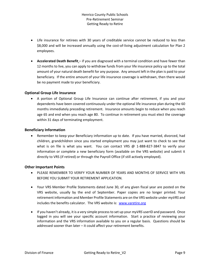- Life insurance for retirees with 30 years of creditable service cannot be reduced to less than \$8,000 and will be increased annually using the cost-of-living adjustment calculation for Plan 2 employees.
- **Accelerated Death Benefit** if you are diagnosed with a terminal condition and have fewer than 12 months to live, you can apply to withdraw funds from your life insurance policy up to the total amount of your natural death benefit for any purpose. Any amount left in the plan is paid to your beneficiary. If the entire amount of your life insurance coverage is withdrawn, then there would be no payment made to your beneficiary.

#### **Optional Group Life Insurance**

• A portion of Optional Group Life Insurance can continue after retirement, if you and your dependents have been covered continuously under the optional life insurance plan during the 60 months immediately preceding retirement. Insurance amounts begin to reduce when you reach age 65 and end when you reach age 80. To continue in retirement you must elect the coverage within 31 days of terminating employment.

#### **Beneficiary Information**

• Remember to keep your Beneficiary information up to date. If you have married, divorced, had children, grandchildren since you started employment you may just want to check to see that what is on file is what you want. You can contact VRS  $\omega$  1-888-827-3847 to verify your information or complete a new beneficiary form (available on the VRS website) and submit it directly to VRS (if retired) or through the Payroll Office (if still actively employed).

#### **Other Important Points**

- PLEASE REMEMBER TO VERIFY YOUR NUMBER OF YEARS AND MONTHS OF SERVICE WITH VRS BEFORE YOU SUBMIT YOUR RETIREMENT APPLICATION.
- Your VRS Member Profile Statements dated June 30, of any given fiscal year are posted on the VRS website, usually by the end of September. Paper copies are no longer printed. Your retirement information and Member Profile Statements are on the VRS website under *myVRS* and includes the benefits calculator. The VRS website is: [www.varetire.org](http://www.varetire.org/)
- If you haven't already, it is a very simple process to set up your *myVRS* userID and password. Once logged in you will see your specific account information. Start a practice of reviewing your information and the VRS information available to you on a regular basis. Questions should be addressed sooner than later – it could affect your retirement benefits.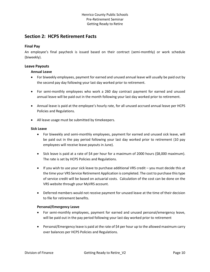## **Section 2: HCPS Retirement Facts**

#### **Final Pay**

An employee's final paycheck is issued based on their contract (semi-monthly) or work schedule (biweekly).

#### **Leave Payouts**

#### **Annual Leave**

- For biweekly employees, payment for earned and unused annual leave will usually be paid out by the second pay day following your last day worked prior to retirement.
- For semi-monthly employees who work a 260 day contract payment for earned and unused annual leave will be paid out in the month following your last day worked prior to retirement.
- Annual leave is paid at the employee's hourly rate, for all unused accrued annual leave per HCPS Policies and Regulations.
- All leave usage must be submitted by timekeepers.

#### **Sick Leave**

- For biweekly and semi-monthly employees, payment for earned and unused sick leave, will be paid out in the pay period following your last day worked prior to retirement (10 pay employees will receive leave payouts in June).
- Sick leave is paid at a rate of \$4 per hour for a maximum of 2000 hours (\$8,000 maximum). The rate is set by HCPS Policies and Regulations.
- If you wish to use your sick leave to purchase additional VRS credit you must decide this at the time your VRS Service Retirement Application is completed. The cost to purchase this type of service credit will be based on actuarial costs. Calculation of the cost can be done on the VRS website through your MyVRS account.
- Deferred members would not receive payment for unused leave at the time of their decision to file for retirement benefits.

#### **Personal/Emergency Leave**

- For semi-monthly employees, payment for earned and unused personal/emergency leave, will be paid out in the pay period following your last day worked prior to retirement
- Personal/Emergency leave is paid at the rate of \$4 per hour up to the allowed maximum carry over balances per HCPS Policies and Regulations.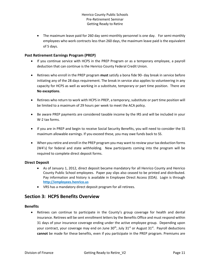• The maximum leave paid for 260 day semi-monthly personnel is one day. For semi-monthly employees who work contracts less than 260 days, the maximum leave paid is the equivalent of 5 days.

#### **Post Retirement Earnings Program (PREP)**

- If you continue service with HCPS in the PREP Program or as a temporary employee, a payroll deduction that can continue is the Henrico County Federal Credit Union.
- Retirees who enroll in the PREP program **must** satisfy a bona fide 90- day break in service before initiating any of the 28 days requirement. The break in service also applies to volunteering in any capacity for HCPS as well as working in a substitute, temporary or part time position. There are **No exceptions**.
- Retirees who return to work with HCPS in PREP, a temporary, substitute or part time position will be limited to a maximum of 29 hours per week to meet the ACA policy.
- Be aware PREP payments are considered taxable income by the IRS and will be included in your W-2 tax forms.
- If you are in PREP and begin to receive Social Security Benefits, you will need to consider the SS maximum allowable earnings. If you exceed these, you may owe funds back to SS.
- When you retire and enroll in the PREP program you may want to review your tax deduction forms (W4's) for federal and state withholding. New participants coming into the program will be required to complete direct deposit forms.

#### **Direct Deposit**

- As of January 1, 2012, direct deposit became mandatory for all Henrico County and Henrico County Public School employees. Paper pay slips also ceased to be printed and distributed. Pay information and history is available in Employee Direct Access (EDA). Login is through **http://employees.henrico.us**
- VRS has a mandatory direct deposit program for all retirees.

### **Section 3: HCPS Benefits Overview**

#### **Benefits**

• Retirees can continue to participate in the County's group coverage for health and dental insurance. Retirees will be sent enrollment letters by the Benefits Office and must respond within 31 days of your insurance coverage ending under the active employee group. Depending upon your contract, your coverage may end on June 30<sup>th</sup>, July 31<sup>st</sup> or August 31<sup>st</sup>. Payroll deductions **cannot** be made for these benefits, even if you participate in the PREP program. Premiums are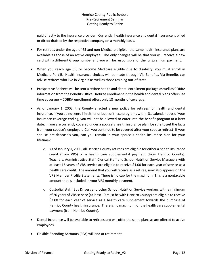paid directly to the insurance provider. Currently, health insurance and dental insurance is billed or direct drafted by the respective company on a monthly basis.

- For retirees under the age of 65 and non-Medicare eligible, the same health insurance plans are available as those of an active employee. The only changes will be that you will receive a new card with a different Group number and you will be responsible for the full premium payment.
- When you reach age 65, or become Medicare eligible due to disability, you must enroll in Medicare Part B. Health insurance choices will be made through Via Benefits. Via Benefits can advise retirees who live in Virginia as well as those residing out-of-state.
- Prospective Retirees will be sent a retiree health and dental enrollment package as well as COBRA information from the Benefits Office. Retiree enrollment in the health and dental plans offers life time coverage – COBRA enrollment offers only 18 months of coverage.
- As of January 1, 2003, the County enacted a new policy for retirees for health and dental insurance. If you do not enroll in either or both of these programs within 31 calendar days of your insurance coverage ending, you will not be allowed to enter into the benefit program at a later date. If you are currently covered under a spouse's health insurance plan, be sure to get the facts from your spouse's employer. Can you continue to be covered after your spouse retires? If your spouse pre-decease's you, can you remain in your spouse's health insurance plan for your lifetime?
	- $\circ$  As of January 1, 2003, all Henrico County retirees are eligible for either a health insurance credit (from VRS) or a health care supplemental payment (from Henrico County). Teachers, Administrative Staff, Clerical Staff and School Nutrition Service Managers with at least 15 years of VRS service are eligible to receive \$4.00 for each year of service as a health care credit. The amount that you will receive as a retiree, now also appears on the VRS Member Profile Statements. There is no cap for the maximum. This is a nontaxable amount that is included in your VRS monthly payment.
	- $\circ$  Custodial staff, Bus Drivers and other School Nutrition Service workers with a minimum of 20 years of VRS service (at least 10 must be with Henrico County) are eligible to receive \$3.00 for each year of service as a health care supplement towards the purchase of Henrico County health insurance. There is no maximum for the health care supplemental payment (from Henrico County).
- Dental Insurance will be available to retirees and will offer the same plans as are offered to active employees.
- Flexible Spending Accounts (FSA) will end at retirement.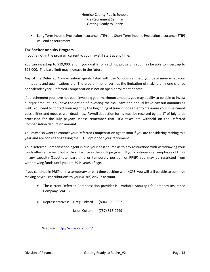• Long Term Income Protection Insurance (LTIP) and Short Term Income Protection Insurance (STIP) will end at retirement.

#### **Tax Shelter Annuity Program**

If you're not in the program currently, you may still start at any time.

You can invest up to \$19,000, and if you qualify for catch up provisions you may be able to invest up to \$25,000. The base limit may increase in the future.

Any of the Deferred Compensation agents listed with the Schools can help you determine what your limitations and qualifications are. The program no longer has the limitation of making only one change per calendar year. Deferred Compensation is not an open enrollment benefit.

If at retirement you have not been investing your maximum amount, you may qualify to be able to invest a larger amount. You have the option of investing the sick leave and annual leave pay out amounts as well. You need to contact your agent by the beginning of June if not earlier to maximize your investment possibilities and meet payroll deadlines. Payroll deduction forms must be received by the 1<sup>st</sup> of July to be processed for the July payday. Please remember that FICA taxes are withheld on the Deferred Compensation deduction amount.

You may also want to contact your Deferred Compensation agent soon if you are considering retiring this year and are considering taking the PLOP option for your retirement.

Your Deferred Compensation agent is also your best source as to any restrictions with withdrawing your funds after retirement but while still active in the PREP program. If you continue as an employee of HCPS in any capacity (Substitute, part time or temporary position or PREP) you may be restricted from withdrawing funds until you are 59 ½ years of age.

If you continue in PREP or in a temporary or part time position with HCPS, you will still be able to continue making payroll contributions to your 403(b) or 457 account.

- The current Deferred Compensation provider is: Variable Annuity Life Company Insurance Company (VALIC)
- Representatives: Greg Pinkard (804) 690-9652
	- Jason Cotton (757) 818-0249

Website: <http://www.valic.com/>